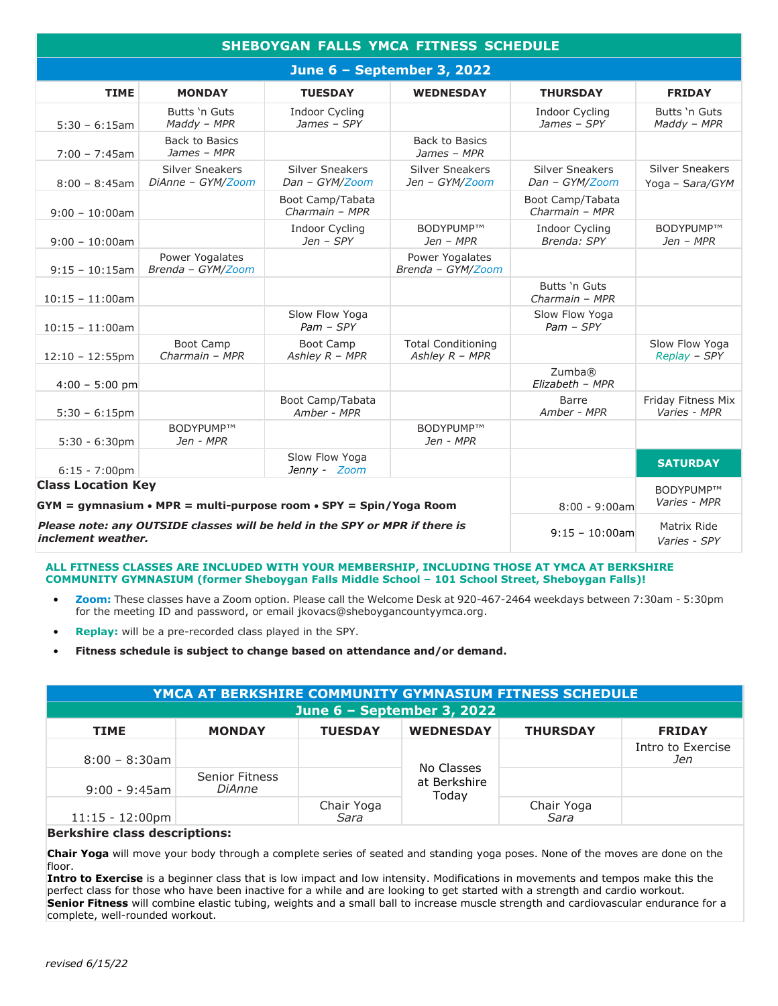| <b>SHEBOYGAN FALLS YMCA FITNESS SCHEDULE</b>                                                             |                                             |                                          |                                               |                                          |                                           |  |  |  |  |
|----------------------------------------------------------------------------------------------------------|---------------------------------------------|------------------------------------------|-----------------------------------------------|------------------------------------------|-------------------------------------------|--|--|--|--|
| June 6 - September 3, 2022                                                                               |                                             |                                          |                                               |                                          |                                           |  |  |  |  |
| <b>TIME</b>                                                                                              | <b>MONDAY</b>                               | <b>TUESDAY</b>                           | <b>WEDNESDAY</b>                              | <b>THURSDAY</b>                          | <b>FRIDAY</b>                             |  |  |  |  |
| $5:30 - 6:15am$                                                                                          | Butts 'n Guts<br>$M$ addy - MPR             | <b>Indoor Cycling</b><br>James - SPY     |                                               | <b>Indoor Cycling</b><br>James - SPY     | Butts 'n Guts<br>Maddy - MPR              |  |  |  |  |
| $7:00 - 7:45$ am                                                                                         | <b>Back to Basics</b><br>James - MPR        |                                          | <b>Back to Basics</b><br>James - MPR          |                                          |                                           |  |  |  |  |
| $8:00 - 8:45am$                                                                                          | <b>Silver Sneakers</b><br>DiAnne - GYM/Zoom | <b>Silver Sneakers</b><br>Dan - GYM/Zoom | <b>Silver Sneakers</b><br>Jen - GYM/Zoom      | <b>Silver Sneakers</b><br>Dan - GYM/Zoom | <b>Silver Sneakers</b><br>Yoga - Sara/GYM |  |  |  |  |
| $9:00 - 10:00$ am                                                                                        |                                             | Boot Camp/Tabata<br>Charmain - MPR       |                                               | Boot Camp/Tabata<br>Charmain - MPR       |                                           |  |  |  |  |
| $9:00 - 10:00$ am                                                                                        |                                             | <b>Indoor Cycling</b><br>$Jen$ - $SPY$   | BODYPUMP™<br>$Jen - MPR$                      | <b>Indoor Cycling</b><br>Brenda: SPY     | BODYPUMP™<br>$Jen - MPR$                  |  |  |  |  |
| $9:15 - 10:15$ am                                                                                        | Power Yogalates<br>Brenda - GYM/Zoom        |                                          | Power Yogalates<br>Brenda - GYM/Zoom          |                                          |                                           |  |  |  |  |
| $10:15 - 11:00$ am                                                                                       |                                             |                                          |                                               | Butts 'n Guts<br>Charmain - MPR          |                                           |  |  |  |  |
| $10:15 - 11:00$ am                                                                                       |                                             | Slow Flow Yoga<br>$Pam - SPY$            |                                               | Slow Flow Yoga<br>$Pam - SPY$            |                                           |  |  |  |  |
| $12:10 - 12:55$ pm                                                                                       | <b>Boot Camp</b><br>Charmain - MPR          | <b>Boot Camp</b><br>Ashley R - MPR       | <b>Total Conditioning</b><br>Ashley $R$ - MPR |                                          | Slow Flow Yoga<br>Replay - SPY            |  |  |  |  |
| $4:00 - 5:00$ pm                                                                                         |                                             |                                          |                                               | Zumba®<br>Elizabeth - MPR                |                                           |  |  |  |  |
| $5:30 - 6:15$ pm                                                                                         |                                             | Boot Camp/Tabata<br>Amber - MPR          |                                               | Barre<br>Amber - MPR                     | Friday Fitness Mix<br>Varies - MPR        |  |  |  |  |
| $5:30 - 6:30$ pm                                                                                         | BODYPUMP™<br>Jen - MPR                      |                                          | BODYPUMP™<br>Jen - MPR                        |                                          |                                           |  |  |  |  |
| $6:15 - 7:00 \text{pm}$                                                                                  |                                             | Slow Flow Yoga<br>Jenny - Zoom           |                                               |                                          | <b>SATURDAY</b>                           |  |  |  |  |
| <b>Class Location Key</b><br>$GYM = gymnasium \cdot MPR = multi-purpose room \cdot SPY = Spin/Yoga Room$ |                                             |                                          |                                               | $8:00 - 9:00am$                          | BODYPUMP™<br>Varies - MPR                 |  |  |  |  |
| Please note: any OUTSIDE classes will be held in the SPY or MPR if there is<br>inclement weather.        |                                             |                                          |                                               | $9:15 - 10:00$ am                        | Matrix Ride<br>Varies - SPY               |  |  |  |  |

## **ALL FITNESS CLASSES ARE INCLUDED WITH YOUR MEMBERSHIP, INCLUDING THOSE AT YMCA AT BERKSHIRE COMMUNITY GYMNASIUM (former Sheboygan Falls Middle School – 101 School Street, Sheboygan Falls)!**

- **Zoom:** These classes have a Zoom option. Please call the Welcome Desk at 920-467-2464 weekdays between 7:30am 5:30pm for the meeting ID and password, or email jkovacs@sheboygancountyymca.org.
- **Replay:** will be a pre-recorded class played in the SPY.

• **Fitness schedule is subject to change based on attendance and/or demand.**

| <b>YMCA AT BERKSHIRE COMMUNITY GYMNASIUM FITNESS SCHEDULE</b>                                                                                                                                                                  |                                        |                    |                                     |                    |                          |  |  |  |  |
|--------------------------------------------------------------------------------------------------------------------------------------------------------------------------------------------------------------------------------|----------------------------------------|--------------------|-------------------------------------|--------------------|--------------------------|--|--|--|--|
| June 6 - September 3, 2022                                                                                                                                                                                                     |                                        |                    |                                     |                    |                          |  |  |  |  |
| <b>TIME</b>                                                                                                                                                                                                                    | <b>MONDAY</b>                          | <b>TUESDAY</b>     | <b>WEDNESDAY</b>                    | <b>THURSDAY</b>    | <b>FRIDAY</b>            |  |  |  |  |
| $8:00 - 8:30$ am                                                                                                                                                                                                               |                                        |                    | No Classes<br>at Berkshire<br>Today |                    | Intro to Exercise<br>Jen |  |  |  |  |
| $9:00 - 9:45$ am                                                                                                                                                                                                               | <b>Senior Fitness</b><br><i>DiAnne</i> |                    |                                     |                    |                          |  |  |  |  |
| $11:15 - 12:00 \text{pm}$                                                                                                                                                                                                      |                                        | Chair Yoga<br>Sara |                                     | Chair Yoga<br>Sara |                          |  |  |  |  |
| the contract of the contract of the contract of the first product of the contract of the contract of the contract of the contract of the contract of the contract of the contract of the contract of the contract of the contr |                                        |                    |                                     |                    |                          |  |  |  |  |

## **Berkshire class descriptions:**

**Chair Yoga** will move your body through a complete series of seated and standing yoga poses. None of the moves are done on the floor.

**Intro to Exercise** is a beginner class that is low impact and low intensity. Modifications in movements and tempos make this the perfect class for those who have been inactive for a while and are looking to get started with a strength and cardio workout. **Senior Fitness** will combine elastic tubing, weights and a small ball to increase muscle strength and cardiovascular endurance for a complete, well-rounded workout.